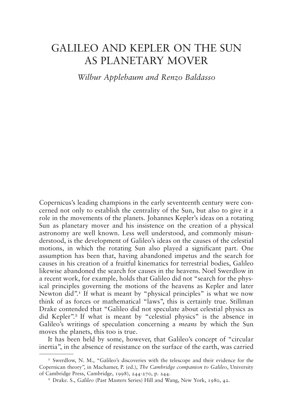## GALILEO AND KEPLER ON THE SUN AS PLANETARY MOVER

*Wilbur Applebaum and Renzo Baldasso*

Copernicus's leading champions in the early seventeenth century were concerned not only to establish the centrality of the Sun, but also to give it a role in the movements of the planets. Johannes Kepler's ideas on a rotating Sun as planetary mover and his insistence on the creation of a physical astronomy are well known. Less well understood, and commonly misunderstood, is the development of Galileo's ideas on the causes of the celestial motions, in which the rotating Sun also played a significant part. One assumption has been that, having abandoned impetus and the search for causes in his creation of a fruitful kinematics for terrestrial bodies, Galileo likewise abandoned the search for causes in the heavens. Noel Swerdlow in a recent work, for example, holds that Galileo did not "search for the physical principles governing the motions of the heavens as Kepler and later Newton did".<sup>1</sup> If what is meant by "physical principles" is what we now think of as forces or mathematical "laws", this is certainly true. Stillman Drake contended that "Galileo did not speculate about celestial physics as did Kepler".<sup>2</sup> If what is meant by "celestial physics" is the absence in Galileo's writings of speculation concerning a *means* by which the Sun moves the planets, this too is true.

It has been held by some, however, that Galileo's concept of "circular inertia", in the absence of resistance on the surface of the earth, was carried

<sup>&</sup>lt;sup>1</sup> Swerdlow, N. M., "Galileo's discoveries with the telescope and their evidence for the Copernican theory", in Machamer, P. (ed.), *The Cambridge companion to Galileo*, University of Cambridge Press, Cambridge, 1998), 244-270, p. 244.

<sup>2</sup> Drake. S., *Galileo* (Past Masters Series) Hill and Wang, New York, 1980, 42.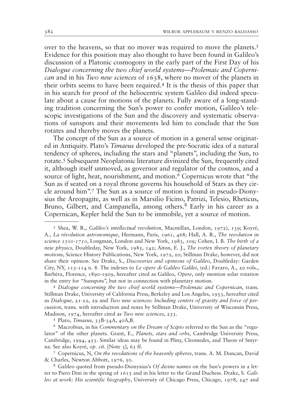over to the heavens, so that no mover was required to move the planets.<sup>3</sup> Evidence for this position may also thought to have been found in Galileo's discussion of a Platonic cosmogony in the early part of the First Day of his *Dialogue concerning the two chief world systems—Ptolemaic and Copernican* and in his *Two new sciences* of 1638, where no mover of the planets in their orbits seems to have been required.<sup>4</sup> It is the thesis of this paper that in his search for proof of the heliocentric system Galileo did indeed speculate about a cause for motions of the planets. Fully aware of a long-standing tradition concerning the Sun's power to confer motion, Galileo's telescopic investigations of the Sun and the discovery and systematic observations of sunspots and their movements led him to conclude that the Sun rotates and thereby moves the planets.

The concept of the Sun as a source of motion in a general sense originated in Antiquity. Plato's *Timaeus* developed the pre-Socratic idea of a natural tendency of spheres, including the stars and "planets", including the Sun, to rotate.<sup>5</sup> Subsequent Neoplatonic literature divinized the Sun, frequently cited it, although itself unmoved, as governor and regulator of the cosmos, and a source of light, heat, nourishment, and motion. $\delta$  Copernicus wrote that "the Sun as if seated on a royal throne governs his household of Stars as they circle around him". <sup>7</sup> The Sun as a source of motion is found in pseudo-Dionysius the Areopagite, as well as in Marsilio Ficino, Patrizi, Telesio, Rheticus, Bruno, Gilbert, and Campanella, among others.<sup>8</sup> Early in his career as a Copernican, Kepler held the Sun to be immobile, yet a source of motion.

<sup>4</sup> *Dialogue concerning the two chief world systems—Ptolemaic and Copernican*, trans. Stillman Drake, University of California Press, Berkeley and Los Angeles, 1953, hereafter cited as *Dialogue,* 21-22, 29 and *Two new sciences: Including centers of gravity and force of percussion*, trans. with introduction and notes by Stillman Drake, University of Wisconsin Press, Madison, 1974, hereafter cited as *Two new sciences*, 233.

<sup>5</sup> Plato, *Timaeus*, 33B-34A, 40A,B.

<sup>6</sup> Macrobius, in his *Commentary on the Dream of Scipio* referred to the Sun as the "regulator" of the other planets. Grant, E., *Planets, stars and orbs*, Cambridge University Press, Cambridge, 1994, 453. Similar ideas may be found in Pliny, Cleomedes, and Theon of Smyrna. See also Koyré, *op. cit.* [Note 3], 63 ff.

<sup>7</sup> Copernicus, N, *On the revolutions of the heavenly spheres*, trans. A. M. Duncan, David & Charles, Newton Abbott, 1976, 50.

<sup>8</sup> Galileo quoted from pseudo-Dionysius's *Of divine names* on the Sun's powers in a letter to Piero Dini in the spring of 1615 and in his letter to the Grand Duchess. Drake, S. *Galileo at work: His scientific biography*, University of Chicago Press, Chicago, 1978, 247 and

<sup>3</sup> Shea, W. R., *Galileo's intellectual revolution*, Macmillan, London, 1972), 139; Koyré, A., *La révolution astronomique*, Hermann, Paris, 1961, 468; Hall, A. R., *The revolution in science 1500-1750*, Longman, London and New York, 1983, 109; Cohen, I. B. *The birth of a new physics*, Doubleday, New York, 1985, 142; Aiton, E. J., *The vortex theory of planetary motions*, Science History Publications, New York, 1972, 20; Stillman Drake, however, did not share their opinion. See Drake, S., *Discoveries and opinions of Galileo*, Doubleday: Garden City, NY, 113-114 n. 8. The indexes to *Le opere di Galileo Galilei*, (ed.) Favaro, A., 20 vols., Barbèra, Florence, 1890-1909, hereafter cited as Galileo, *Opere*, only mention solar rotation in the entry for "Sunspots", but not in connection with planetary motion.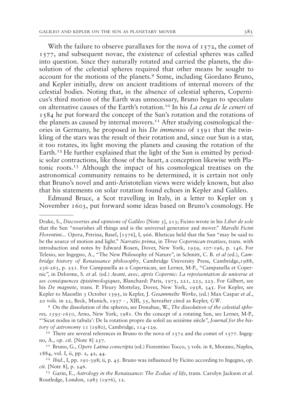With the failure to observe parallaxes for the nova of  $1572$ , the comet of 1577, and subsequent novae, the existence of celestial spheres was called into question. Since they naturally rotated and carried the planets, the dissolution of the celestial spheres required that other means be sought to account for the motions of the planets.<sup>9</sup> Some, including Giordano Bruno, and Kepler initially, drew on ancient traditions of internal movers of the celestial bodies. Noting that, in the absence of celestial spheres, Copernicus's third motion of the Earth was unnecessary, Bruno began to speculate on alternative causes of the Earth's rotation.<sup>10</sup> In his *La cena de le ceneri* of 1584 he put forward the concept of the Sun's rotation and the rotations of the planets as caused by internal movers.<sup>11</sup> After studying cosmological theories in Germany, he proposed in his *De immenso* of 1591 that the twinkling of the stars was the result of their rotation and, since our Sun is a star, it too rotates, its light moving the planets and causing the rotation of the Earth.<sup>12</sup> He further explained that the light of the Sun is emitted by periodic solar contractions, like those of the heart, a conception likewise with Platonic roots.<sup>13</sup> Although the impact of his cosmological treatises on the astronomical community remains to be determined, it is certain not only that Bruno's novel and anti-Aristotelian views were widely known, but also that his statements on solar rotation found echoes in Kepler and Galileo.

Edmund Bruce, a Scot travelling in Italy, in a letter to Kepler on 5 November 1603, put forward some ideas based on Bruno's cosmology. He

Drake, S., *Discoveries and opinions of Galileo* [Note 3], 213; Ficino wrote in his *Liber de sole* that the Sun "nourishes all things and is the universal generator and mover." *Marsilii Ficini Florentini... Opera*, Petrina, Basel, [1576], I, 966. Rheticus held that the Sun "may be said to be the source of motion and light." *Narratio prima*, in *Three Copernican treatises*, trans. with introduction and notes by Edward Rosen, Dover, New York, 1959, 107-196, p. 146. For Telesio, see Ingegno, A., "The New Philosophy of Nature", in Schmitt, C. B. *et al* (ed.), *Cambridge history of Renaissance philosophy*, Cambridge University Press, Cambridge,1988, 236-263, p. 251. For Campanella as a Copernican, see Lerner, M-P., "Campanella et Copernic", in Delorme, S. *et al.* (ed.) *Avant, avec, aprés Copernic: La représentation de universe et ses conséquences épistémologiques*, Blanchard: Paris, 1975, 221, 223, 225. For Gilbert, see his *De magnete*, trans. P. Fleury Mottelay, Dover, New York, 1958, 345. For Kepler, see Kepler to Maestlin 3 October 1595, in Kepler, J. *Gesammelte Werke*, (ed.) Max Caspar *et al.*, 20 vols. in 22, Beck, Munich, 1937 - , XIII, 35, hereafter cited as Kepler, *GW*.

<sup>9</sup> On the dissolution of the spheres, see Donahue, W., *The dissolution of the celestial spheres, 1595-1650*, Arno, New York, 1981. On the concept of a rotating Sun, see Lerner, M-P., "'Sicut nodus in tabula': De la rotation propre du soleil au seizième siècle", *Journal for the history of astronomy* 11 (1980), Cambridge, 114-129.

<sup>&</sup>lt;sup>10</sup> There are several references in Bruno to the nova of 1572 and the comet of 1577. Ingegno, A., *op. cit.* [Note 8] 257.

<sup>11</sup> Bruno, G., *Opere Latina conscripta* (ed.) Fiorentino Tocco, 3 vols. in 8, Morano, Naples, 1884, vol. I, ii, pp. 2, 42, 44.

<sup>12</sup> *Ibid*., I, pp. 191-398; ii, p. 45. Bruno was influenced by Ficino according to Ingegno, *op. cit.* [Note 8], p. 246.

<sup>13</sup> Garin, E., *Astrology in the Renaissance: The Zodiac of life*, trans. Carolyn Jackson *et al.* Routledge, London, 1983 (1976), 12.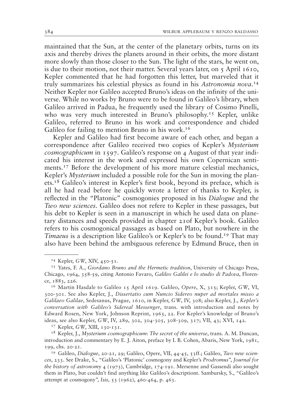maintained that the Sun, at the center of the planetary orbits, turns on its axis and thereby drives the planets around in their orbits, the more distant more slowly than those closer to the Sun. The light of the stars, he went on, is due to their motion, not their matter. Several years later, on  $\zeta$  April 1610, Kepler commented that he had forgotten this letter, but marveled that it truly summarizes his celestial physics as found in his *Astronomia nova*. 14 Neither Kepler nor Galileo accepted Bruno's ideas on the infinity of the universe. While no works by Bruno were to be found in Galileo's library, when Galileo arrived in Padua, he frequently used the library of Cosimo Pinelli, who was very much interested in Bruno's philosophy.<sup>15</sup> Kepler, unlike Galileo, referred to Bruno in his work and correspondence and chided Galileo for failing to mention Bruno in his work.<sup>16</sup>

Kepler and Galileo had first become aware of each other, and began a correspondence after Galileo received two copies of Kepler's *Mysterium cosmographicum* in 1597. Galileo's response on 4 August of that year indicated his interest in the work and expressed his own Copernican sentiments.<sup>17</sup> Before the development of his more mature celestial mechanics, Kepler's *Mysterium* included a possible role for the Sun in moving the planets.<sup>18</sup> Galileo's interest in Kepler's first book, beyond its preface, which is all he had read before he quickly wrote a letter of thanks to Kepler, is reflected in the "Platonic" cosmogonies proposed in his *Dialogue* and the *Two new sciences*. Galileo does not refere to Kepler in these passages, but his debt to Kepler is seen in a manuscript in which he used data on planetary distances and speeds provided in chapter 21of Kepler's book. Galileo refers to his cosmogonical passages as based on Plato, but nowhere in the *Timaeus* is a description like Galileo's or Kepler's to be found.<sup>19</sup> That may also have been behind the ambiguous reference by Edmund Bruce, then in

<sup>17</sup> Kepler, *GW*, XIII, 130-131.

<sup>18</sup> Kepler, J., *Mysterium cosmographicum*: *The secret of the universe*, trans. A. M. Duncan, introduction and commentary by E. J. Aiton, preface by I. B. Cohen, Abaris, New York, 1981, 199, chs. 20-21.

<sup>14</sup> Kepler, *GW*, XIV, 450-51.

<sup>15</sup> Yates, F. A., *Giordano Bruno and the Hermetic tradition*, University of Chicago Press, Chicago, 1964, 358-59, citing Antonio Favaro, *Galileo Galilei e lo studio di Padova*, Florence, 1883, 226.

<sup>16</sup> Martin Hasdale to Galileo 15 April 1619. Galileo, *Opere*, X, 315; Kepler, *GW*, VI, 300-301. See also Kepler, J., *Dissertatio cum Nuncio Sidereo nuper ad mortales misso a Galilaeo Galilae*, Sedesanus, Prague, 1610, in Kepler, *GW*, IV, 308; also Kepler, J., *Kepler's conversation with Galileo's Sidereal Messenger*, trans. with introduction and notes by Edward Rosen, New York, Johnson Reprint, 1965, 22. For Kepler's knowledge of Bruno's ideas, see also Kepler, *GW*, IV, 289, 302, 304-305, 308-309, 317; VII, 43; XVI, 142.

<sup>19</sup> Galileo, *Dialogue*, 20-21, 29; Galileo, Opere, VII, 44-45, 53ff.; Galileo, *Two new sciences*, 233. See Drake, S., "Galileo's 'Platonic' cosmogony and Kepler's *Prodromus*", *Journal for the history of astronomy* 4 (1973), Cambridge, 174-191. Mersenne and Gassendi also sought them in Plato, but couldn't find anything like Galileo's descriptiont. Sambursky, S., "Galileo's attempt at cosmogony", *Isis*, 53 (1962), 460-464, p. 463.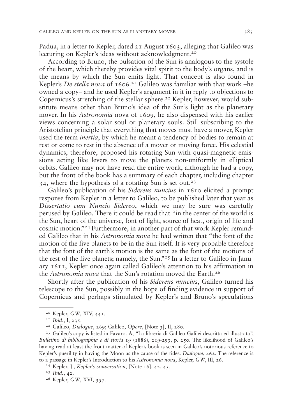Padua, in a letter to Kepler, dated 21 August 1603, alleging that Galileo was lecturing on Kepler's ideas without acknowledgment.<sup>20</sup>

According to Bruno, the pulsation of the Sun is analogous to the systole of the heart, which thereby provides vital spirit to the body's organs, and is the means by which the Sun emits light. That concept is also found in Kepler's *De stella nova* of 1606. <sup>21</sup> Galileo was familiar with that work –he owned a copy– and he used Kepler's argument in it in reply to objections to Copernicus's stretching of the stellar sphere.<sup>22</sup> Kepler, however, would substitute means other than Bruno's idea of the Sun's light as the planetary mover. In his *Astronomia* nova of 1609, he also dispensed with his earlier views concerning a solar soul or planetary souls. Still subscribing to the Aristotelian principle that everything that moves must have a mover, Kepler used the term *inertia*, by which he meant a tendency of bodies to remain at rest or come to rest in the absence of a mover or moving force. His celestial dynamics, therefore, proposed his rotating Sun with quasi-magnetic emissions acting like levers to move the planets non-uniformly in elliptical orbits. Galileo may not have read the entire work, although he had a copy, but the front of the book has a summary of each chapter, including chapter  $34$ , where the hypothesis of a rotating Sun is set out.<sup>23</sup>

Galileo's publication of his *Sidereus nuncius* in 1610 elicited a prompt response from Kepler in a letter to Galileo, to be published later that year as *Dissertatio cum Nuncio Sidereo*, which we may be sure was carefully perused by Galileo. There it could be read that "in the center of the world is the Sun, heart of the universe, font of light, source of heat, origin of life and cosmic motion."<sup>24</sup> Furthermore, in another part of that work Kepler reminded Galileo that in his *Astronomia nova* he had written that "the font of the motion of the five planets to be in the Sun itself. It is very probable therefore that the font of the earth's motion is the same as the font of the motions of the rest of the five planets; namely, the Sun."<sup>25</sup> In a letter to Galileo in January 1611, Kepler once again called Galileo's attention to his affirmation in the *Astronomia nova* that the Sun's rotation moved the Earth.<sup>26</sup>

Shortly after the publication of his *Sidereus nuncius*, Galileo turned his telescope to the Sun, possibly in the hope of finding evidence in support of Copernicus and perhaps stimulated by Kepler's and Bruno's speculations

<sup>20</sup> Kepler, *GW*, XIV, 441.

<sup>21</sup> *Ibid*., I, 235.

<sup>22</sup> Galileo, *Dialogue*, 269; Galileo, *Opere*, [Note 3], II, 280.

<sup>&</sup>lt;sup>23</sup> Galileo's copy is listed in Favaro. A, "La libreria di Galileo Galilei descritta ed illustrata", *Bulletino di bibliographia e di storia* 19 (1886), 219-293, p. 250. The likelihood of Galileo's having read at least the front matter of Kepler's book is seen in Galileo's notorious reference to Kepler's puerility in having the Moon as the cause of the tides. *Dialogue*, 462. The reference is to a passage in Kepler's Introduction to his *Astronomia nova*, Kepler, *GW*, III, 26.

<sup>24</sup> Kepler, J., *Kepler's conversation*, [Note 16], 42, 45.

<sup>25</sup> *Ibid.*, 42.

<sup>&</sup>lt;sup>26</sup> Kepler, GW, XVI, 357.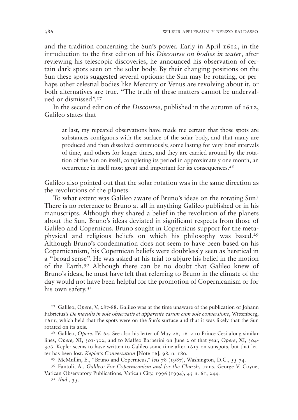and the tradition concerning the Sun's power. Early in April 1612, in the introduction to the first edition of his *Discourse on bodies in water*, after reviewing his telescopic discoveries, he announced his observation of certain dark spots seen on the solar body. By their changing positions on the Sun these spots suggested several options: the Sun may be rotating, or perhaps other celestial bodies like Mercury or Venus are revolving about it, or both alternatives are true. "The truth of these matters cannot be undervalued or dismissed".<sup>27</sup>

In the second edition of the *Discourse*, published in the autumn of 1612, Galileo states that

at last, my repeated observations have made me certain that those spots are substances contiguous with the surface of the solar body, and that many are produced and then dissolved continuously, some lasting for very brief intervals of time, and others for longer times, and they are carried around by the rotation of the Sun on itself, completing its period in approximately one month, an occurrence in itself most great and important for its consequences.<sup>28</sup>

Galileo also pointed out that the solar rotation was in the same direction as the revolutions of the planets.

To what extent was Galileo aware of Bruno's ideas on the rotating Sun? There is no reference to Bruno at all in anything Galileo published or in his manuscripts. Although they shared a belief in the revolution of the planets about the Sun, Bruno's ideas deviated in significant respects from those of Galileo and Copernicus. Bruno sought in Copernicus support for the metaphysical and religious beliefs on which his philosophy was based.<sup>29</sup> Although Bruno's condemnation does not seem to have been based on his Copernicanism, his Copernican beliefs were doubtlessly seen as heretical in a "broad sense". He was asked at his trial to abjure his belief in the motion of the Earth.<sup>30</sup> Although there can be no doubt that Galileo knew of Bruno's ideas, he must have felt that referring to Bruno in the climate of the day would not have been helpful for the promotion of Copernicanism or for his own safety.<sup>31</sup>

<sup>27</sup> Galileo, O*pere*, V, 287-88. Galileo was at the time unaware of the publication of Johann Fabricius's *De maculis in sole observatis et apparente earum cum sole conversione*, Wittenberg, 1611, which held that the spots were on the Sun's surface and that it was likely that the Sun rotated on its axis.

<sup>28</sup> Galileo, *Opere*, IV, 64. See also his letter of May 26, 1612 to Prince Cesi along similar lines, *Opere,* XI, 301-302, and to Maffeo Barberini on June 2 of that year, *Opere*, XI, 304- 306. Kepler seems to have written to Galileo some time after 1613 on sunspots, but that letter has been lost. *Kepler's Conversation* [Note 16], 98, n. 180.

<sup>29</sup> McMullin, E., "Bruno and Copernicus," *Isis* 78 (1987), Washington, D.C., 55-74.

<sup>30</sup> Fantoli, A., *Galileo: For Copernicanism and for the Church*, trans. George V. Coyne, Vatican Observatory Publications, Vatican City, 1996 (1994), 45 n. 61, 244.

<sup>31</sup> *Ibid*., 35.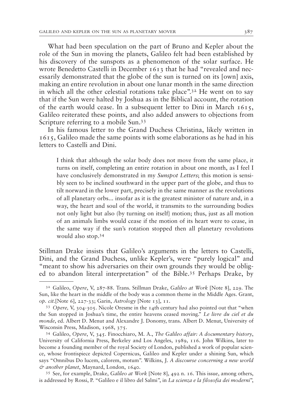What had been speculation on the part of Bruno and Kepler about the role of the Sun in moving the planets, Galileo felt had been established by his discovery of the sunspots as a phenomenon of the solar surface. He wrote Benedetto Castelli in December 1613 that he had "revealed and necessarily demonstrated that the globe of the sun is turned on its [own] axis, making an entire revolution in about one lunar month in the same direction in which all the other celestial rotations take place".<sup>32</sup> He went on to say that if the Sun were halted by Joshua as in the Biblical account, the rotation of the earth would cease. In a subsequent letter to Dini in March  $1615$ , Galileo reiterated these points, and also added answers to objections from Scripture referring to a mobile Sun.<sup>33</sup>

In his famous letter to the Grand Duchess Christina, likely written in 1615, Galileo made the same points with some elaborations as he had in his letters to Castelli and Dini.

I think that although the solar body does not move from the same place, it turns on itself, completing an entire rotation in about one month, as I feel I have conclusively demonstrated in my *Sunspot Letters*; this motion is sensibly seen to be inclined southward in the upper part of the globe, and thus to tilt norward in the lower part, precisely in the same manner as the revolutions of all planetary orbs... insofar as it is the greatest minister of nature and, in a way, the heart and soul of the world, it transmits to the surrounding bodies not only light but also (by turning on itself} motion; thus, just as all motion of an animals limbs would cease if the motion of its heart were to cease, in the same way if the sun's rotation stopped then all planetary revolutions would also stop.<sup>34</sup>

Stillman Drake insists that Galileo's arguments in the letters to Castelli, Dini, and the Grand Duchess, unlike Kepler's, were "purely logical" and "meant to show his adversaries on their own grounds they would be obliged to abandon literal interpretation" of the Bible.<sup>35</sup> Perhaps Drake, by

<sup>35</sup> See, for example, Drake, *Galileo at Work* [Note 8], 492 n. 16. This issue, among others, is addressed by Rossi, P. "Galileo e il libro del Salmi", in *La scienza e la filosofia dei moderni*",

<sup>32</sup> Galileo, *Opere*, V, 287-88. Trans. Stillman Drake, *Galileo at Work* [Note 8], 229. The Sun, like the heart in the middle of the body was a common theme in the Middle Ages. Grant, *op. cit.*[Note 6], 227-33; Garin, *Astrology* [Note 13], 11.

<sup>33</sup> *Opere,* V, 304-305. Nicole Oresme in the 14th century had also pointed out that "when the Sun stopped in Joshua's time, the entire heavens ceased moving." *Le livre du ciel et du monde*, ed. Albert D. Menut and Alexandre J. Donomy, trans. Albert D. Menut, University of Wisconsin Press, Madison, 1968, 375.

<sup>34</sup> Galileo, *Opere*, V, 345. Finocchiaro, M. A., *The Galileo affair: A documentary history*, University of California Press, Berkeley and Los Angeles, 1989, 116. John Wilkins, later to become a founding member of the royal Society of London, published a work of popular science, whose frontispiece depicted Copernicus, Galileo and Kepler under a shining Sun, which says "Omnibus Do lucem, calorem, motum". Wilkins, J. *A discourse concerning a new world & another planet*, Maynard, London, 1640.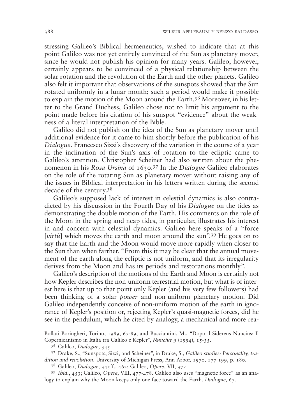stressing Galileo's Biblical hermeneutics, wished to indicate that at this point Galileo was not yet entirely convinced of the Sun as planetary mover, since he would not publish his opinion for many years. Galileo, however, certainly appears to be convinced of a physical relationship between the solar rotation and the revolution of the Earth and the other planets. Galileo also felt it important that observations of the sunspots showed that the Sun rotated uniformly in a lunar month; such a period would make it possible to explain the motion of the Moon around the Earth.<sup>36</sup> Moreover, in his letter to the Grand Duchess, Galileo chose not to limit his argument to the point made before his citation of his sunspot "evidence" about the weakness of a literal interpretation of the Bible.

Galileo did not publish on the idea of the Sun as planetary mover until additional evidence for it came to him shortly before the publication of his *Dialogue*. Francesco Sizzi's discovery of the variation in the course of a year in the inclination of the Sun's axis of rotation to the ecliptic came to Galileo's attention. Christopher Scheiner had also written about the phenomenon in his *Rosa Ursina* of 1630. <sup>37</sup> In the *Dialogue* Galileo elaborates on the role of the rotating Sun as planetary mover without raising any of the issues in Biblical interpretation in his letters written during the second decade of the century.<sup>38</sup>

Galileo's supposed lack of interest in celestial dynamics is also contradicted by his discussion in the Fourth Day of his *Dialogue* on the tides as demonstrating the double motion of the Earth. His comments on the role of the Moon in the spring and neap tides, in particular, illustrates his interest in and concern with celestial dynamics. Galileo here speaks of a "force [*virtù*] which moves the earth and moon around the sun".<sup>39</sup> He goes on to say that the Earth and the Moon would move more rapidly when closer to the Sun than when farther. "From this it may be clear that the annual movement of the earth along the ecliptic is not uniform, and that its irregularity derives from the Moon and has its periods and restorations monthly".

Galileo's description of the motions of the Earth and Moon is certainly not how Kepler describes the non-uniform terrestrial motion, but what is of interest here is that up to that point only Kepler (and his very few followers) had been thinking of a solar *power* and non-uniform planetary motion. Did Galileo independently conceive of non-uniform motion of the earth in ignorance of Kepler's position or, rejecting Kepler's quasi-magnetic forces, did he see in the pendulum, which he cited by analogy, a mechanical and more rea-

Bollati Boringheri, Torino, 1989, 67-89, and Bucciantini. M., "Dopo il Sidereus Nuncius: Il Copernicanismo in Italia tra Galileo e Kepler", *Nuncius* 9 (1994), 15-35.

<sup>36</sup> Galileo, *Dialogue*, 345.

<sup>37</sup> Drake, S., "Sunspots, Sizzi, and Scheiner", in Drake, S., *Galileo studies: Personality, tradition and revolution,* University of Michigan Press, Ann Arbor, 1970, 177-199, p. 180.

<sup>38</sup> Galileo, *Dialogue*, 345ff., 462; Galileo, *Opere*, VII, 372.

<sup>39</sup> *Ibid.*, 453; Galileo, *Opere*, VIII, 477-478. Galileo also uses "magnetic force" as an analogy to explain why the Moon keeps only one face toward the Earth. *Dialogue*, 67.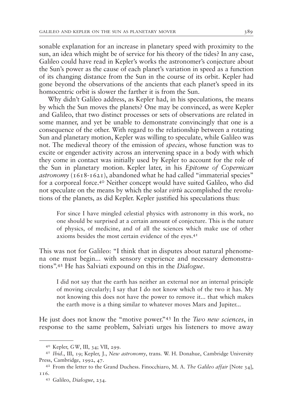sonable explanation for an increase in planetary speed with proximity to the sun, an idea which might be of service for his theory of the tides? In any case, Galileo could have read in Kepler's works the astronomer's conjecture about the Sun's power as the cause of each planet's variation in speed as a function of its changing distance from the Sun in the course of its orbit. Kepler had gone beyond the observations of the ancients that each planet's speed in its homocentric orbit is slower the farther it is from the Sun.

Why didn't Galileo address, as Kepler had, in his speculations, the means by which the Sun moves the planets? One may be convinced, as were Kepler and Galileo, that two distinct processes or sets of observations are related in some manner, and yet be unable to demonstrate convincingly that one is a consequence of the other. With regard to the relationship between a rotating Sun and planetary motion, Kepler was willing to speculate, while Galileo was not. The medieval theory of the emission of *species*, whose function was to excite or engender activity across an intervening space in a body with which they come in contact was initially used by Kepler to account for the role of the Sun in planetary motion. Kepler later, in his *Epitome of Copernican astronomy* (1618-1621), abandoned what he had called "immaterial species" for a corporeal force.<sup>40</sup> Neither concept would have suited Galileo, who did not speculate on the means by which the solar *virtù* accomplished the revolutions of the planets, as did Kepler. Kepler justified his speculations thus:

For since I have mingled celestial physics with astronomy in this work, no one should be surprised at a certain amount of conjecture. This is the nature of physics, of medicine, and of all the sciences which make use of other axioms besides the most certain evidence of the eyes.<sup>41</sup>

This was not for Galileo: "I think that in disputes about natural phenomena one must begin... with sensory experience and necessary demonstrations".<sup>42</sup> He has Salviati expound on this in the *Dialogue*.

I did not say that the earth has neither an external nor an internal principle of moving circularly; I say that I do not know which of the two it has. My not knowing this does not have the power to remove it... that which makes the earth move is a thing similar to whatever moves Mars and Jupiter...

He just does not know the "motive power."<sup>43</sup> In the *Two new sciences*, in response to the same problem, Salviati urges his listeners to move away

<sup>40</sup> Kepler, *GW*, III, 34; VII, 299.

<sup>41</sup> *Ibid*., III, 19; Kepler, J., *New astronomy*, trans. W. H. Donahue, Cambridge University Press, Cambridge, 1992, 47.

<sup>42</sup> From the letter to the Grand Duchess. Finocchiaro, M. A. *The Galileo affair* [Note 34], 116.

<sup>43</sup> Galileo, *Dialogue*, 234.